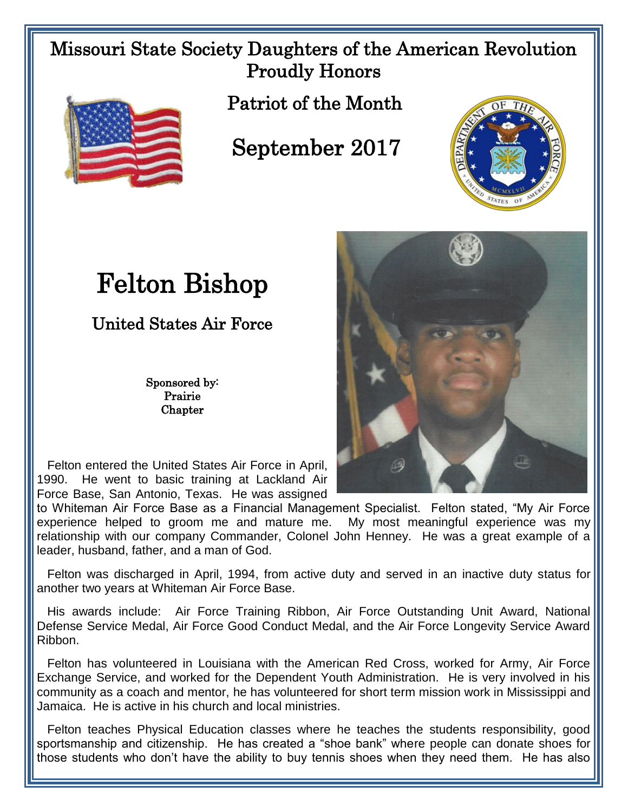## Missouri State Society Daughters of the American Revolution Proudly Honors



Patriot of the Month

## September 2017



## Felton Bishop

United States Air Force

Sponsored by: Prairie **Chapter** 

 Felton entered the United States Air Force in April, 1990. He went to basic training at Lackland Air Force Base, San Antonio, Texas. He was assigned

to Whiteman Air Force Base as a Financial Management Specialist. Felton stated, "My Air Force experience helped to groom me and mature me. My most meaningful experience was my relationship with our company Commander, Colonel John Henney. He was a great example of a leader, husband, father, and a man of God.

 Felton was discharged in April, 1994, from active duty and served in an inactive duty status for another two years at Whiteman Air Force Base.

 His awards include: Air Force Training Ribbon, Air Force Outstanding Unit Award, National Defense Service Medal, Air Force Good Conduct Medal, and the Air Force Longevity Service Award Ribbon.

 Felton has volunteered in Louisiana with the American Red Cross, worked for Army, Air Force Exchange Service, and worked for the Dependent Youth Administration. He is very involved in his community as a coach and mentor, he has volunteered for short term mission work in Mississippi and Jamaica. He is active in his church and local ministries.

 Felton teaches Physical Education classes where he teaches the students responsibility, good sportsmanship and citizenship. He has created a "shoe bank" where people can donate shoes for those students who don't have the ability to buy tennis shoes when they need them. He has also